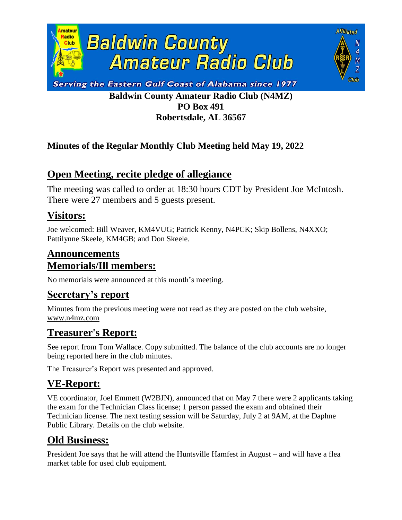



# **Baldwin County Amateur Radio Club (N4MZ) PO Box 491 Robertsdale, AL 36567**

#### **Minutes of the Regular Monthly Club Meeting held May 19, 2022**

# **Open Meeting, recite pledge of allegiance**

The meeting was called to order at 18:30 hours CDT by President Joe McIntosh. There were 27 members and 5 guests present.

#### **Visitors:**

Joe welcomed: Bill Weaver, KM4VUG; Patrick Kenny, N4PCK; Skip Bollens, N4XXO; Pattilynne Skeele, KM4GB; and Don Skeele.

# **Announcements Memorials/Ill members:**

No memorials were announced at this month's meeting.

### **Secretary's report**

Minutes from the previous meeting were not read as they are posted on the club website, [www.n4mz.com](http://www.n4mz.com/)

# **Treasurer's Report:**

See report from Tom Wallace. Copy submitted. The balance of the club accounts are no longer being reported here in the club minutes.

The Treasurer's Report was presented and approved.

# **VE-Report:**

VE coordinator, Joel Emmett (W2BJN), announced that on May 7 there were 2 applicants taking the exam for the Technician Class license; 1 person passed the exam and obtained their Technician license. The next testing session will be Saturday, July 2 at 9AM, at the Daphne Public Library. Details on the club website.

# **Old Business:**

President Joe says that he will attend the Huntsville Hamfest in August – and will have a flea market table for used club equipment.